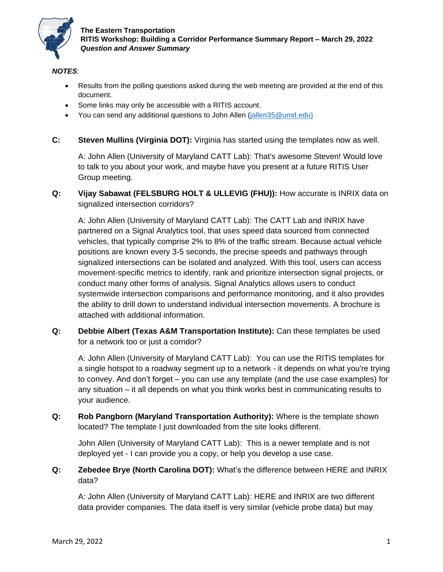

### *NOTES*:

- Results from the polling questions asked during the web meeting are provided at the end of this document.
- Some links may only be accessible with a RITIS account.
- You can send any additional questions to John Allen (jallen 35@umd.edu)
- **C: Steven Mullins (Virginia DOT):** Virginia has started using the templates now as well.

A: John Allen (University of Maryland CATT Lab): That's awesome Steven! Would love to talk to you about your work, and maybe have you present at a future RITIS User Group meeting.

**Q: Vijay Sabawat (FELSBURG HOLT & ULLEVIG (FHU)):** How accurate is INRIX data on signalized intersection corridors?

A: John Allen (University of Maryland CATT Lab): The CATT Lab and INRIX have partnered on a Signal Analytics tool, that uses speed data sourced from connected vehicles, that typically comprise 2% to 8% of the traffic stream. Because actual vehicle positions are known every 3-5 seconds, the precise speeds and pathways through signalized intersections can be isolated and analyzed. With this tool, users can access movement-specific metrics to identify, rank and prioritize intersection signal projects, or conduct many other forms of analysis. Signal Analytics allows users to conduct systemwide intersection comparisons and performance monitoring, and it also provides the ability to drill down to understand individual intersection movements. A brochure is attached with additional information.

**Q: Debbie Albert (Texas A&M Transportation Institute):** Can these templates be used for a network too or just a corridor?

A: John Allen (University of Maryland CATT Lab): You can use the RITIS templates for a single hotspot to a roadway segment up to a network - it depends on what you're trying to convey. And don't forget – you can use any template (and the use case examples) for any situation – it all depends on what you think works best in communicating results to your audience.

**Q: Rob Pangborn (Maryland Transportation Authority):** Where is the template shown located? The template I just downloaded from the site looks different.

John Allen (University of Maryland CATT Lab): This is a newer template and is not deployed yet - I can provide you a copy, or help you develop a use case.

**Q: Zebedee Brye (North Carolina DOT):** What's the difference between HERE and INRIX data?

A: John Allen (University of Maryland CATT Lab): HERE and INRIX are two different data provider companies. The data itself is very similar (vehicle probe data) but may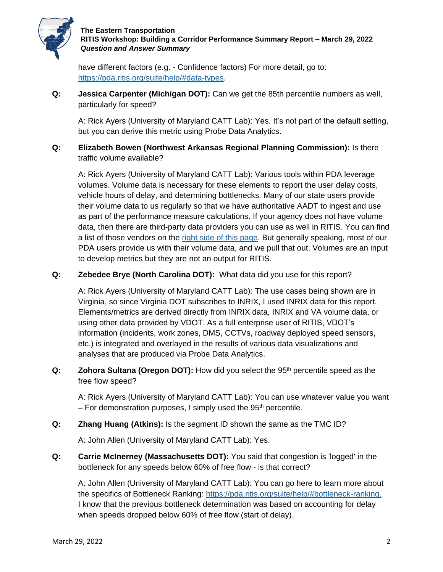

have different factors (e.g. - Confidence factors) For more detail, go to: [https://pda.ritis.org/suite/help/#data-types.](about:blank#data-types)

**Q: Jessica Carpenter (Michigan DOT):** Can we get the 85th percentile numbers as well, particularly for speed?

A: Rick Ayers (University of Maryland CATT Lab): Yes. It's not part of the default setting, but you can derive this metric using Probe Data Analytics.

**Q: Elizabeth Bowen (Northwest Arkansas Regional Planning Commission):** Is there traffic volume available?

A: Rick Ayers (University of Maryland CATT Lab): Various tools within PDA leverage volumes. Volume data is necessary for these elements to report the user delay costs, vehicle hours of delay, and determining bottlenecks. Many of our state users provide their volume data to us regularly so that we have authoritative AADT to ingest and use as part of the performance measure calculations. If your agency does not have volume data, then there are third-party data providers you can use as well in RITIS. You can find a list of those vendors on the [right side of this page.](https://tetcoalition.org/projects/vpp-marketplace/) But generally speaking, most of our PDA users provide us with their volume data, and we pull that out. Volumes are an input to develop metrics but they are not an output for RITIS.

**Q: Zebedee Brye (North Carolina DOT):** What data did you use for this report?

A: Rick Ayers (University of Maryland CATT Lab): The use cases being shown are in Virginia, so since Virginia DOT subscribes to INRIX, I used INRIX data for this report. Elements/metrics are derived directly from INRIX data, INRIX and VA volume data, or using other data provided by VDOT. As a full enterprise user of RITIS, VDOT's information (incidents, work zones, DMS, CCTVs, roadway deployed speed sensors, etc.) is integrated and overlayed in the results of various data visualizations and analyses that are produced via Probe Data Analytics.

**Q: Zohora Sultana (Oregon DOT):** How did you select the 95<sup>th</sup> percentile speed as the free flow speed?

A: Rick Ayers (University of Maryland CATT Lab): You can use whatever value you want  $-$  For demonstration purposes, I simply used the 95<sup>th</sup> percentile.

**Q: Zhang Huang (Atkins):** Is the segment ID shown the same as the TMC ID?

A: John Allen (University of Maryland CATT Lab): Yes.

**Q: Carrie McInerney (Massachusetts DOT):** You said that congestion is 'logged' in the bottleneck for any speeds below 60% of free flow - is that correct?

A: John Allen (University of Maryland CATT Lab): You can go here to learn more about the specifics of Bottleneck Ranking: [https://pda.ritis.org/suite/help/#bottleneck-ranking.](about:blank#bottleneck-ranking) I know that the previous bottleneck determination was based on accounting for delay when speeds dropped below 60% of free flow (start of delay).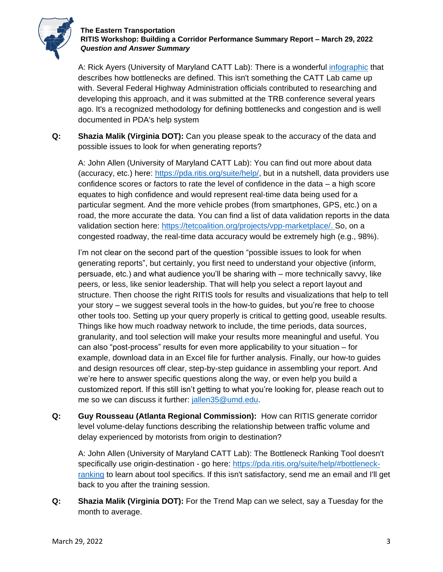

A: Rick Ayers (University of Maryland CATT Lab): There is a wonderful *infographic* that describes how bottlenecks are defined. This isn't something the CATT Lab came up with. Several Federal Highway Administration officials contributed to researching and developing this approach, and it was submitted at the TRB conference several years ago. It's a recognized methodology for defining bottlenecks and congestion and is well documented in PDA's help system

**Q: Shazia Malik (Virginia DOT):** Can you please speak to the accuracy of the data and possible issues to look for when generating reports?

A: John Allen (University of Maryland CATT Lab): You can find out more about data (accuracy, etc.) here: [https://pda.ritis.org/suite/help/,](about:blank) but in a nutshell, data providers use confidence scores or factors to rate the level of confidence in the data – a high score equates to high confidence and would represent real-time data being used for a particular segment. And the more vehicle probes (from smartphones, GPS, etc.) on a road, the more accurate the data. You can find a list of data validation reports in the data validation section here: [https://tetcoalition.org/projects/vpp-marketplace/.](https://tetcoalition.org/projects/vpp-marketplace/) So, on a congested roadway, the real-time data accuracy would be extremely high (e.g., 98%).

I'm not clear on the second part of the question "possible issues to look for when generating reports", but certainly, you first need to understand your objective (inform, persuade, etc.) and what audience you'll be sharing with – more technically savvy, like peers, or less, like senior leadership. That will help you select a report layout and structure. Then choose the right RITIS tools for results and visualizations that help to tell your story – we suggest several tools in the how-to guides, but you're free to choose other tools too. Setting up your query properly is critical to getting good, useable results. Things like how much roadway network to include, the time periods, data sources, granularity, and tool selection will make your results more meaningful and useful. You can also "post-process" results for even more applicability to your situation – for example, download data in an Excel file for further analysis. Finally, our how-to guides and design resources off clear, step-by-step guidance in assembling your report. And we're here to answer specific questions along the way, or even help you build a customized report. If this still isn't getting to what you're looking for, please reach out to me so we can discuss it further: [jallen35@umd.edu.](mailto:jallen35@umd.edu)

**Q: Guy Rousseau (Atlanta Regional Commission):** How can RITIS generate corridor level volume-delay functions describing the relationship between traffic volume and delay experienced by motorists from origin to destination?

A: John Allen (University of Maryland CATT Lab): The Bottleneck Ranking Tool doesn't specifically use origin-destination - go here: [https://pda.ritis.org/suite/help/#bottleneck](about:blank#bottleneck-ranking)[ranking](about:blank#bottleneck-ranking) to learn about tool specifics. If this isn't satisfactory, send me an email and I'll get back to you after the training session.

**Q: Shazia Malik (Virginia DOT):** For the Trend Map can we select, say a Tuesday for the month to average.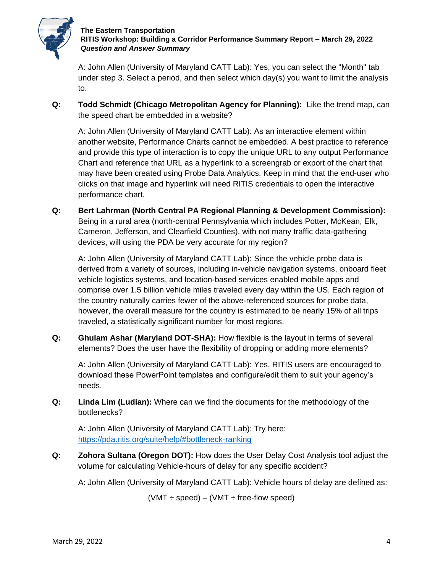

A: John Allen (University of Maryland CATT Lab): Yes, you can select the "Month" tab under step 3. Select a period, and then select which day(s) you want to limit the analysis to.

**Q: Todd Schmidt (Chicago Metropolitan Agency for Planning):** Like the trend map, can the speed chart be embedded in a website?

A: John Allen (University of Maryland CATT Lab): As an interactive element within another website, Performance Charts cannot be embedded. A best practice to reference and provide this type of interaction is to copy the unique URL to any output Performance Chart and reference that URL as a hyperlink to a screengrab or export of the chart that may have been created using Probe Data Analytics. Keep in mind that the end-user who clicks on that image and hyperlink will need RITIS credentials to open the interactive performance chart.

**Q: Bert Lahrman (North Central PA Regional Planning & Development Commission):** Being in a rural area (north-central Pennsylvania which includes Potter, McKean, Elk, Cameron, Jefferson, and Clearfield Counties), with not many traffic data-gathering devices, will using the PDA be very accurate for my region?

A: John Allen (University of Maryland CATT Lab): Since the vehicle probe data is derived from a variety of sources, including in-vehicle navigation systems, onboard fleet vehicle logistics systems, and location-based services enabled mobile apps and comprise over 1.5 billion vehicle miles traveled every day within the US. Each region of the country naturally carries fewer of the above-referenced sources for probe data, however, the overall measure for the country is estimated to be nearly 15% of all trips traveled, a statistically significant number for most regions.

**Q: Ghulam Ashar (Maryland DOT-SHA):** How flexible is the layout in terms of several elements? Does the user have the flexibility of dropping or adding more elements?

A: John Allen (University of Maryland CATT Lab): Yes, RITIS users are encouraged to download these PowerPoint templates and configure/edit them to suit your agency's needs.

**Q: Linda Lim (Ludian):** Where can we find the documents for the methodology of the bottlenecks?

A: John Allen (University of Maryland CATT Lab): Try here: [https://pda.ritis.org/suite/help/#bottleneck-ranking](about:blank#bottleneck-ranking)

**Q: Zohora Sultana (Oregon DOT):** How does the User Delay Cost Analysis tool adjust the volume for calculating Vehicle-hours of delay for any specific accident?

A: John Allen (University of Maryland CATT Lab): Vehicle hours of delay are defined as:

 $(VMT \div speed) - (VMT \div free-flow speed)$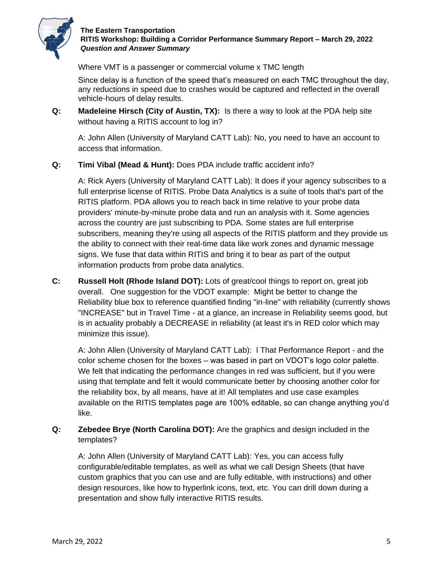

Where VMT is a passenger or commercial volume x TMC length

Since delay is a function of the speed that's measured on each TMC throughout the day, any reductions in speed due to crashes would be captured and reflected in the overall vehicle-hours of delay results.

**Q: Madeleine Hirsch (City of Austin, TX):** Is there a way to look at the PDA help site without having a RITIS account to log in?

A: John Allen (University of Maryland CATT Lab): No, you need to have an account to access that information.

**Q: Timi Vibal (Mead & Hunt):** Does PDA include traffic accident info?

A: Rick Ayers (University of Maryland CATT Lab): It does if your agency subscribes to a full enterprise license of RITIS. Probe Data Analytics is a suite of tools that's part of the RITIS platform. PDA allows you to reach back in time relative to your probe data providers' minute-by-minute probe data and run an analysis with it. Some agencies across the country are just subscribing to PDA. Some states are full enterprise subscribers, meaning they're using all aspects of the RITIS platform and they provide us the ability to connect with their real-time data like work zones and dynamic message signs. We fuse that data within RITIS and bring it to bear as part of the output information products from probe data analytics.

**C: Russell Holt (Rhode Island DOT):** Lots of great/cool things to report on, great job overall. One suggestion for the VDOT example: Might be better to change the Reliability blue box to reference quantified finding "in-line" with reliability (currently shows "INCREASE" but in Travel Time - at a glance, an increase in Reliability seems good, but is in actuality probably a DECREASE in reliability (at least it's in RED color which may minimize this issue).

A: John Allen (University of Maryland CATT Lab): l That Performance Report - and the color scheme chosen for the boxes – was based in part on VDOT's logo color palette. We felt that indicating the performance changes in red was sufficient, but if you were using that template and felt it would communicate better by choosing another color for the reliability box, by all means, have at it! All templates and use case examples available on the RITIS templates page are 100% editable, so can change anything you'd like.

**Q: Zebedee Brye (North Carolina DOT):** Are the graphics and design included in the templates?

A: John Allen (University of Maryland CATT Lab): Yes, you can access fully configurable/editable templates, as well as what we call Design Sheets (that have custom graphics that you can use and are fully editable, with instructions) and other design resources, like how to hyperlink icons, text, etc. You can drill down during a presentation and show fully interactive RITIS results.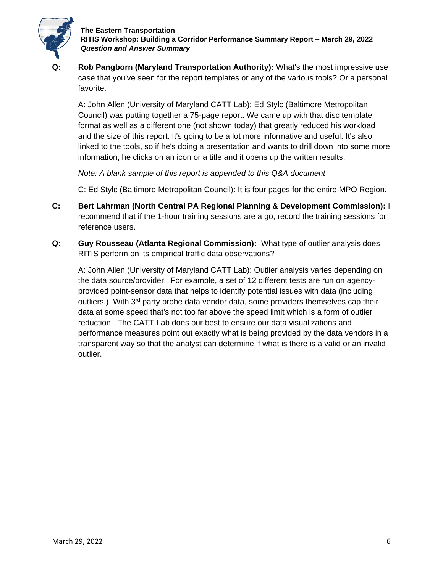

**Rob Pangborn (Maryland Transportation Authority):** What's the most impressive use case that you've seen for the report templates or any of the various tools? Or a personal favorite.

A: John Allen (University of Maryland CATT Lab): Ed Stylc (Baltimore Metropolitan Council) was putting together a 75-page report. We came up with that disc template format as well as a different one (not shown today) that greatly reduced his workload and the size of this report. It's going to be a lot more informative and useful. It's also linked to the tools, so if he's doing a presentation and wants to drill down into some more information, he clicks on an icon or a title and it opens up the written results.

*Note: A blank sample of this report is appended to this Q&A document*

C: Ed Stylc (Baltimore Metropolitan Council): It is four pages for the entire MPO Region.

- **C: Bert Lahrman (North Central PA Regional Planning & Development Commission):** I recommend that if the 1-hour training sessions are a go, record the training sessions for reference users.
- **Q: Guy Rousseau (Atlanta Regional Commission):** What type of outlier analysis does RITIS perform on its empirical traffic data observations?

A: John Allen (University of Maryland CATT Lab): Outlier analysis varies depending on the data source/provider. For example, a set of 12 different tests are run on agencyprovided point-sensor data that helps to identify potential issues with data (including outliers.) With  $3<sup>rd</sup>$  party probe data vendor data, some providers themselves cap their data at some speed that's not too far above the speed limit which is a form of outlier reduction. The CATT Lab does our best to ensure our data visualizations and performance measures point out exactly what is being provided by the data vendors in a transparent way so that the analyst can determine if what is there is a valid or an invalid outlier.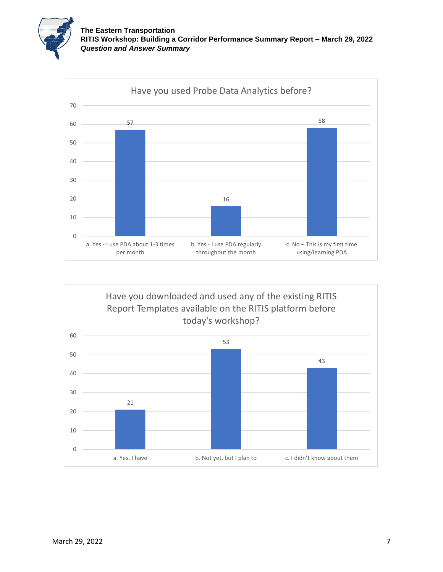



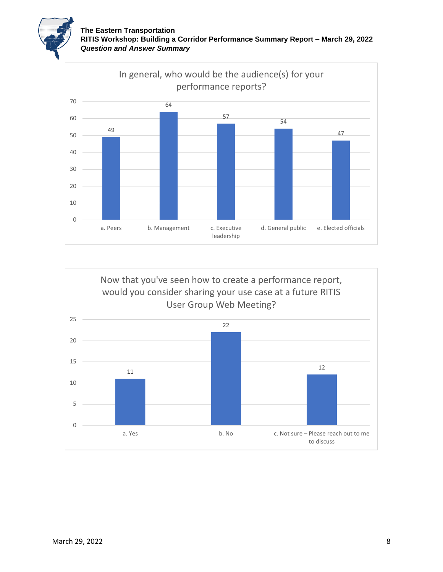



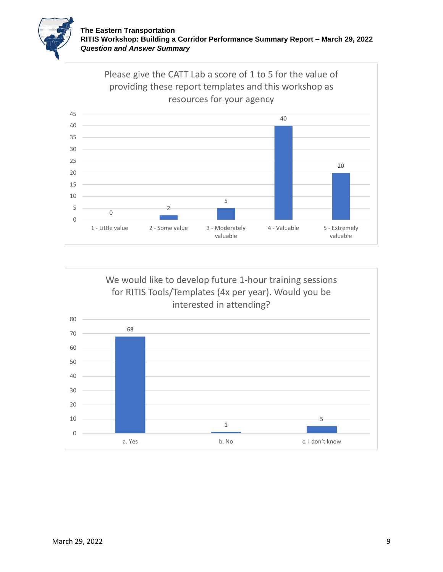



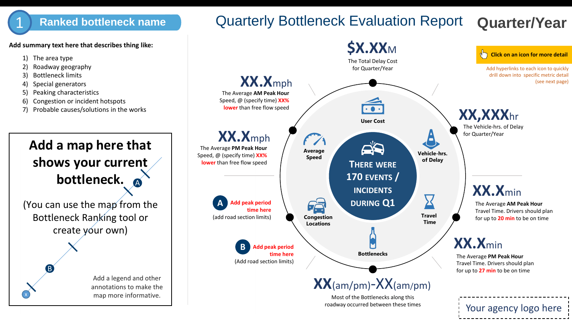## 1) Ranked bottleneck name **Quarterly Bottleneck Evaluation Report Quarter/Year**

**Add summary text here that describes thing like:**

- 1) The area type
- 2) Roadway geography
- 3) Bottleneck limits
- 4) Special generators
- 5) Peaking characteristics
- 6) Congestion or incident hotspots
- 7) Probable causes/solutions in the works



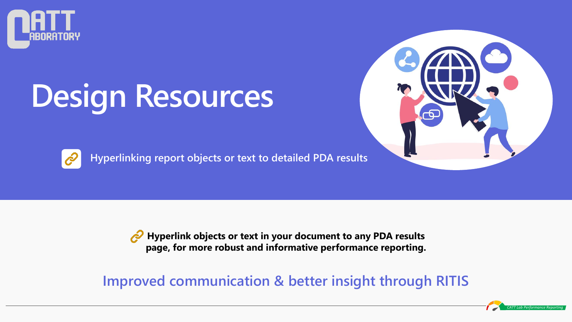

# **Design Resources**



**Hyperlinking report objects or text to detailed PDA results**



**Hyperlink objects or text in your document to any PDA results page, for more robust and informative performance reporting.**

**Improved communication & better insight through RITIS**